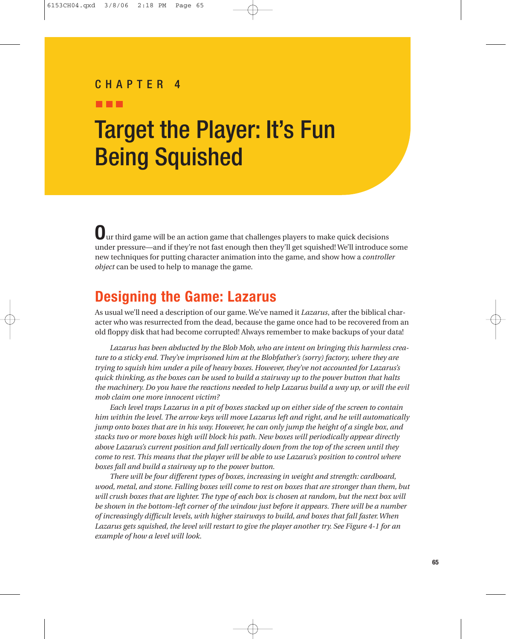### CHAPTER 4

#### ---

# Target the Player: It's Fun Being Squished

**O**ur third game will be an action game that challenges players to make quick decisions under pressure—and if they're not fast enough then they'll get squished! We'll introduce some new techniques for putting character animation into the game, and show how a *controller object* can be used to help to manage the game.

# **Designing the Game: Lazarus**

As usual we'll need a description of our game. We've named it *Lazarus*, after the biblical character who was resurrected from the dead, because the game once had to be recovered from an old floppy disk that had become corrupted! Always remember to make backups of your data!

*Lazarus has been abducted by the Blob Mob, who are intent on bringing this harmless creature to a sticky end. They've imprisoned him at the Blobfather's (sorry) factory, where they are trying to squish him under a pile of heavy boxes. However, they've not accounted for Lazarus's quick thinking, as the boxes can be used to build a stairway up to the power button that halts the machinery. Do you have the reactions needed to help Lazarus build a way up, or will the evil mob claim one more innocent victim?*

*Each level traps Lazarus in a pit of boxes stacked up on either side of the screen to contain him within the level. The arrow keys will move Lazarus left and right, and he will automatically jump onto boxes that are in his way. However, he can only jump the height of a single box, and stacks two or more boxes high will block his path. New boxes will periodically appear directly above Lazarus's current position and fall vertically down from the top of the screen until they come to rest. This means that the player will be able to use Lazarus's position to control where boxes fall and build a stairway up to the power button.*

*There will be four different types of boxes, increasing in weight and strength: cardboard, wood, metal, and stone. Falling boxes will come to rest on boxes that are stronger than them, but will crush boxes that are lighter. The type of each box is chosen at random, but the next box will be shown in the bottom-left corner of the window just before it appears. There will be a number of increasingly difficult levels, with higher stairways to build, and boxes that fall faster. When Lazarus gets squished, the level will restart to give the player another try. See Figure 4-1 for an example of how a level will look.*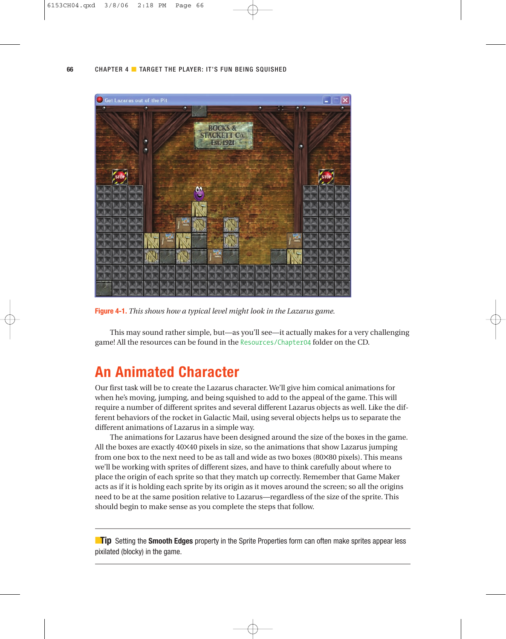

**Figure 4-1.** *This shows how a typical level might look in the Lazarus game.*

This may sound rather simple, but—as you'll see—it actually makes for a very challenging game! All the resources can be found in the Resources/Chapter04 folder on the CD.

# **An Animated Character**

Our first task will be to create the Lazarus character. We'll give him comical animations for when he's moving, jumping, and being squished to add to the appeal of the game. This will require a number of different sprites and several different Lazarus objects as well. Like the different behaviors of the rocket in Galactic Mail, using several objects helps us to separate the different animations of Lazarus in a simple way.

The animations for Lazarus have been designed around the size of the boxes in the game. All the boxes are exactly 40✕40 pixels in size, so the animations that show Lazarus jumping from one box to the next need to be as tall and wide as two boxes (80✕80 pixels). This means we'll be working with sprites of different sizes, and have to think carefully about where to place the origin of each sprite so that they match up correctly. Remember that Game Maker acts as if it is holding each sprite by its origin as it moves around the screen; so all the origins need to be at the same position relative to Lazarus—regardless of the size of the sprite. This should begin to make sense as you complete the steps that follow.

**Tip** Setting the **Smooth Edges** property in the Sprite Properties form can often make sprites appear less pixilated (blocky) in the game.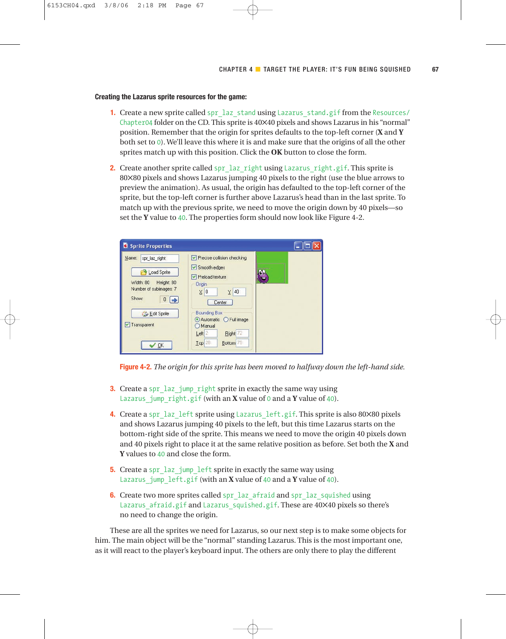#### **Creating the Lazarus sprite resources for the game:**

- **1.** Create a new sprite called spr\_laz\_stand using Lazarus\_stand.gif from the Resources/ Chapter04 folder on the CD. This sprite is 40✕40 pixels and shows Lazarus in his "normal" position. Remember that the origin for sprites defaults to the top-left corner (**X** and **Y** both set to 0). We'll leave this where it is and make sure that the origins of all the other sprites match up with this position. Click the **OK** button to close the form.
- **2.** Create another sprite called spr\_laz\_right using Lazarus\_right.gif. This sprite is 80✕80 pixels and shows Lazarus jumping 40 pixels to the right (use the blue arrows to preview the animation). As usual, the origin has defaulted to the top-left corner of the sprite, but the top-left corner is further above Lazarus's head than in the last sprite. To match up with the previous sprite, we need to move the origin down by 40 pixels—so set the **Y** value to 40. The properties form should now look like Figure 4-2.

| <b>B</b> Sprite Properties                                                                                                                                            |                                                                                                                                                                                                                                                                      |  |
|-----------------------------------------------------------------------------------------------------------------------------------------------------------------------|----------------------------------------------------------------------------------------------------------------------------------------------------------------------------------------------------------------------------------------------------------------------|--|
| Name:<br>spr_laz_right<br>Load Sprite<br>Height: 80<br>Width: 80<br>Number of subimages: 7<br>Show:<br>$0 \Leftrightarrow$<br>Edit Sprite<br>Transparent<br><b>OK</b> | Precise collision checking<br>Smooth edges<br>$\triangleright$ Preload texture<br><b><i><u>Origin</u></i></b><br>$\times 0$<br>Y.<br>40<br>Center<br><b>Bounding Box</b><br>Automatic O Full image<br>Manual<br>Right 72<br>Left $2$<br>Bottom 79<br>$\text{Top}$ 28 |  |

**Figure 4-2.** *The origin for this sprite has been moved to halfway down the left-hand side.*

- **3.** Create a spr\_laz\_jump\_right sprite in exactly the same way using Lazarus\_jump\_right.gif (with an **X** value of 0 and a **Y** value of 40).
- **4.** Create a spr\_laz\_left sprite using Lazarus\_left.gif. This sprite is also 80×80 pixels and shows Lazarus jumping 40 pixels to the left, but this time Lazarus starts on the bottom-right side of the sprite. This means we need to move the origin 40 pixels down and 40 pixels right to place it at the same relative position as before. Set both the **X** and **Y** values to 40 and close the form.
- **5.** Create a spr\_laz\_jump\_left sprite in exactly the same way using Lazarus\_jump\_left.gif (with an **X** value of 40 and a **Y** value of 40).
- **6.** Create two more sprites called spr\_laz\_afraid and spr\_laz\_squished using Lazarus afraid.gif and Lazarus squished.gif. These are 40×40 pixels so there's no need to change the origin.

These are all the sprites we need for Lazarus, so our next step is to make some objects for him. The main object will be the "normal" standing Lazarus. This is the most important one, as it will react to the player's keyboard input. The others are only there to play the different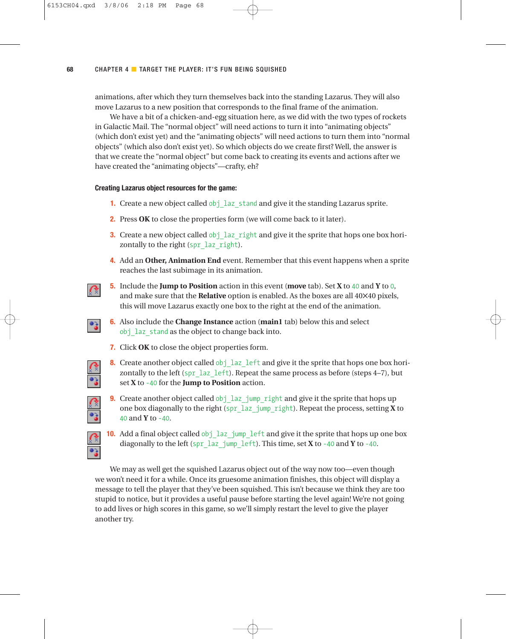animations, after which they turn themselves back into the standing Lazarus. They will also move Lazarus to a new position that corresponds to the final frame of the animation.

We have a bit of a chicken-and-egg situation here, as we did with the two types of rockets in Galactic Mail. The "normal object" will need actions to turn it into "animating objects" (which don't exist yet) and the "animating objects" will need actions to turn them into "normal objects" (which also don't exist yet). So which objects do we create first? Well, the answer is that we create the "normal object" but come back to creating its events and actions after we have created the "animating objects"—crafty, eh?

#### **Creating Lazarus object resources for the game:**

- **1.** Create a new object called obj laz stand and give it the standing Lazarus sprite.
- **2.** Press **OK** to close the properties form (we will come back to it later).
- **3.** Create a new object called obj laz right and give it the sprite that hops one box horizontally to the right (spr\_laz\_right).
- **4.** Add an **Other, Animation End** event. Remember that this event happens when a sprite reaches the last subimage in its animation.
- **5.** Include the **Jump to Position** action in this event (**move** tab). Set **X** to 40 and **Y** to 0, and make sure that the **Relative** option is enabled. As the boxes are all 40×40 pixels, this will move Lazarus exactly one box to the right at the end of the animation.
- **6.** Also include the **Change Instance** action (**main1** tab) below this and select obj laz stand as the object to change back into.
- **7.** Click **OK** to close the object properties form.



ဇ

 $^{\circ}$ 3

**8.** Create another object called obj\_laz\_left and give it the sprite that hops one box horizontally to the left (spr\_laz\_left). Repeat the same process as before (steps  $4-7$ ), but set **X** to -40 for the **Jump to Position** action.



**9.** Create another object called obj laz jump right and give it the sprite that hops up one box diagonally to the right (spr\_laz\_jump\_right). Repeat the process, setting **X** to 40 and **Y** to -40.



**10.** Add a final object called obj\_laz\_jump\_left and give it the sprite that hops up one box diagonally to the left (spr\_laz\_jump\_left). This time, set **X** to -40 and **Y** to -40.

We may as well get the squished Lazarus object out of the way now too—even though we won't need it for a while. Once its gruesome animation finishes, this object will display a message to tell the player that they've been squished. This isn't because we think they are too stupid to notice, but it provides a useful pause before starting the level again! We're not going to add lives or high scores in this game, so we'll simply restart the level to give the player another try.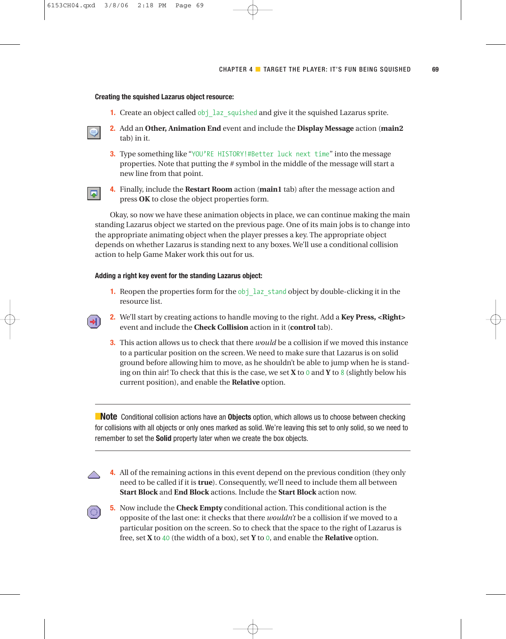#### **Creating the squished Lazarus object resource:**

- **1.** Create an object called obj\_laz\_squished and give it the squished Lazarus sprite.
- **2.** Add an **Other, Animation End** event and include the **Display Message** action (**main2** tab) in it.
- **3.** Type something like "YOU'RE HISTORY!#Better luck next time" into the message properties. Note that putting the # symbol in the middle of the message will start a new line from that point.

 $\overline{\mathbf{v}}$ 

N

**4.** Finally, include the **Restart Room** action (**main1** tab) after the message action and press **OK** to close the object properties form.

Okay, so now we have these animation objects in place, we can continue making the main standing Lazarus object we started on the previous page. One of its main jobs is to change into the appropriate animating object when the player presses a key. The appropriate object depends on whether Lazarus is standing next to any boxes. We'll use a conditional collision action to help Game Maker work this out for us.

#### **Adding a right key event for the standing Lazarus object:**

- **1.** Reopen the properties form for the obj\_laz\_stand object by double-clicking it in the resource list.
- **2.** We'll start by creating actions to handle moving to the right. Add a **Key Press, <Right>** event and include the **Check Collision** action in it (**control** tab).
- **3.** This action allows us to check that there *would* be a collision if we moved this instance to a particular position on the screen. We need to make sure that Lazarus is on solid ground before allowing him to move, as he shouldn't be able to jump when he is standing on thin air! To check that this is the case, we set **X** to 0 and **Y** to 8 (slightly below his current position), and enable the **Relative** option.

**Note** Conditional collision actions have an **Objects** option, which allows us to choose between checking for collisions with all objects or only ones marked as solid. We're leaving this set to only solid, so we need to remember to set the **Solid** property later when we create the box objects.

- **4.** All of the remaining actions in this event depend on the previous condition (they only need to be called if it is **true**). Consequently, we'll need to include them all between **Start Block** and **End Block** actions. Include the **Start Block** action now.
	- **5.** Now include the **Check Empty** conditional action. This conditional action is the opposite of the last one: it checks that there *wouldn't* be a collision if we moved to a particular position on the screen. So to check that the space to the right of Lazarus is free, set **X** to 40 (the width of a box), set **Y** to 0, and enable the **Relative** option.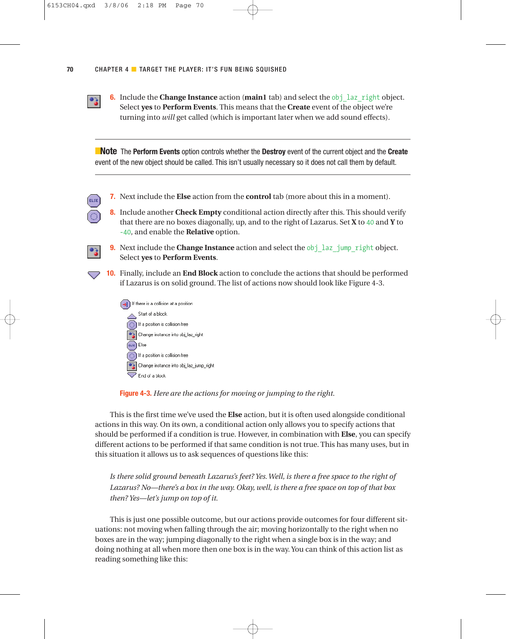$\bullet$ 

ELSE<sup>1</sup>

**6.** Include the **Change Instance** action (**main1** tab) and select the obj\_laz\_right object. Select **yes** to **Perform Events**. This means that the **Create** event of the object we're turning into *will* get called (which is important later when we add sound effects).

■**Note** The **Perform Events** option controls whether the **Destroy** event of the current object and the **Create** event of the new object should be called. This isn't usually necessary so it does not call them by default.

- **7.** Next include the **Else** action from the **control** tab (more about this in a moment).
	- **8.** Include another **Check Empty** conditional action directly after this. This should verify that there are no boxes diagonally, up, and to the right of Lazarus. Set **X** to 40 and **Y** to -40, and enable the **Relative** option.
	- **9.** Next include the **Change Instance** action and select the obj\_laz\_jump\_right object. Select **yes** to **Perform Events**.
- **10.** Finally, include an **End Block** action to conclude the actions that should be performed if Lazarus is on solid ground. The list of actions now should look like Figure 4-3.



#### **Figure 4-3.** *Here are the actions for moving or jumping to the right.*

This is the first time we've used the **Else** action, but it is often used alongside conditional actions in this way. On its own, a conditional action only allows you to specify actions that should be performed if a condition is true. However, in combination with **Else**, you can specify different actions to be performed if that same condition is not true. This has many uses, but in this situation it allows us to ask sequences of questions like this:

*Is there solid ground beneath Lazarus's feet? Yes. Well, is there a free space to the right of Lazarus? No—there's a box in the way. Okay, well, is there a free space on top of that box then? Yes—let's jump on top of it.*

This is just one possible outcome, but our actions provide outcomes for four different situations: not moving when falling through the air; moving horizontally to the right when no boxes are in the way; jumping diagonally to the right when a single box is in the way; and doing nothing at all when more then one box is in the way. You can think of this action list as reading something like this: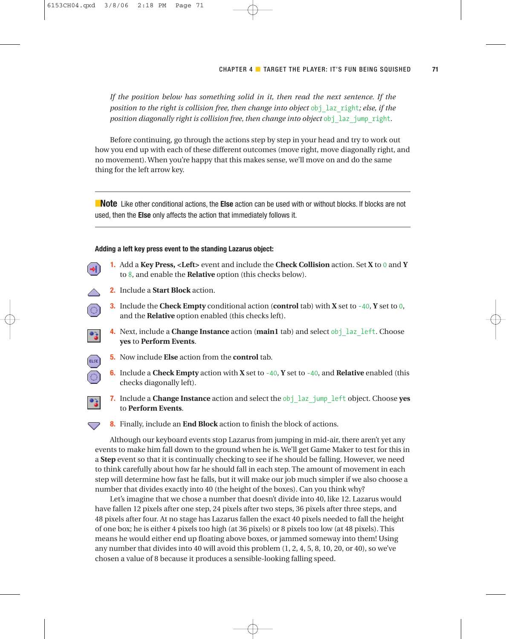*If the position below has something solid in it, then read the next sentence. If the position to the right is collision free, then change into object* obj\_laz\_right*; else, if the position diagonally right is collision free, then change into object*  $obj$  laz jump right.

Before continuing, go through the actions step by step in your head and try to work out how you end up with each of these different outcomes (move right, move diagonally right, and no movement). When you're happy that this makes sense, we'll move on and do the same thing for the left arrow key.

**Note** Like other conditional actions, the **Else** action can be used with or without blocks. If blocks are not used, then the **Else** only affects the action that immediately follows it.

#### **Adding a left key press event to the standing Lazarus object:**

- **1.** Add a **Key Press, <Left>** event and include the **Check Collision** action. Set **X** to 0 and **Y** to 8, and enable the **Relative** option (this checks below).
- **2.** Include a **Start Block** action.

⇥

 $\frac{1}{\sqrt{2}}$ 

- **3.** Include the **Check Empty** conditional action (**control** tab) with **X** set to -40, **Y** set to 0, and the **Relative** option enabled (this checks left).
- **4.** Next, include a **Change Instance** action (**main1** tab) and select obj\_laz\_left. Choose  $\bullet$ **yes** to **Perform Events**.
	- **5.** Now include **Else** action from the **control** tab.
	- **6.** Include a **Check Empty** action with **X** set to -40, **Y** set to -40, and **Relative** enabled (this checks diagonally left).
	- **7.** Include a **Change Instance** action and select the obj\_laz\_jump\_left object. Choose **yes** to **Perform Events**.
	- **8.** Finally, include an **End Block** action to finish the block of actions.

Although our keyboard events stop Lazarus from jumping in mid-air, there aren't yet any events to make him fall down to the ground when he is. We'll get Game Maker to test for this in a **Step** event so that it is continually checking to see if he should be falling. However, we need to think carefully about how far he should fall in each step. The amount of movement in each step will determine how fast he falls, but it will make our job much simpler if we also choose a number that divides exactly into 40 (the height of the boxes). Can you think why?

Let's imagine that we chose a number that doesn't divide into 40, like 12. Lazarus would have fallen 12 pixels after one step, 24 pixels after two steps, 36 pixels after three steps, and 48 pixels after four. At no stage has Lazarus fallen the exact 40 pixels needed to fall the height of one box; he is either 4 pixels too high (at 36 pixels) or 8 pixels too low (at 48 pixels). This means he would either end up floating above boxes, or jammed someway into them! Using any number that divides into 40 will avoid this problem (1, 2, 4, 5, 8, 10, 20, or 40), so we've chosen a value of 8 because it produces a sensible-looking falling speed.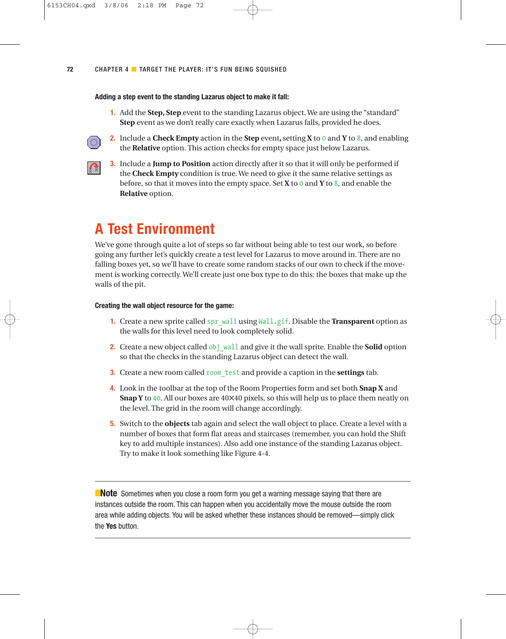#### **Adding a step event to the standing Lazarus object to make it fall:**

**1.** Add the **Step, Step** event to the standing Lazarus object. We are using the "standard" **Step** event as we don't really care exactly when Lazarus falls, provided he does.



- **2.** Include a **Check Empty** action in the **Step** event**,** setting **X** to 0 and **Y** to 8, and enabling the **Relative** option. This action checks for empty space just below Lazarus.
- **3.** Include a **Jump to Position** action directly after it so that it will only be performed if the **Check Empty** condition is true. We need to give it the same relative settings as before, so that it moves into the empty space. Set **X** to 0 and **Y** to 8, and enable the **Relative** option.

# **A Test Environment**

We've gone through quite a lot of steps so far without being able to test our work, so before going any further let's quickly create a test level for Lazarus to move around in. There are no falling boxes yet, so we'll have to create some random stacks of our own to check if the movement is working correctly. We'll create just one box type to do this: the boxes that make up the walls of the pit.

#### **Creating the wall object resource for the game:**

- **1.** Create a new sprite called spr\_wall using Wall.gif. Disable the **Transparent** option as the walls for this level need to look completely solid.
- **2.** Create a new object called obj\_wall and give it the wall sprite. Enable the **Solid** option so that the checks in the standing Lazarus object can detect the wall.
- **3.** Create a new room called room\_test and provide a caption in the **settings** tab.
- **4.** Look in the toolbar at the top of the Room Properties form and set both **Snap X** and **Snap Y** to 40. All our boxes are 40×40 pixels, so this will help us to place them neatly on the level. The grid in the room will change accordingly.
- **5.** Switch to the **objects** tab again and select the wall object to place. Create a level with a number of boxes that form flat areas and staircases (remember, you can hold the Shift key to add multiple instances). Also add one instance of the standing Lazarus object. Try to make it look something like Figure 4-4.

**Note** Sometimes when you close a room form you get a warning message saying that there are instances outside the room. This can happen when you accidentally move the mouse outside the room area while adding objects. You will be asked whether these instances should be removed—simply click the **Yes** button.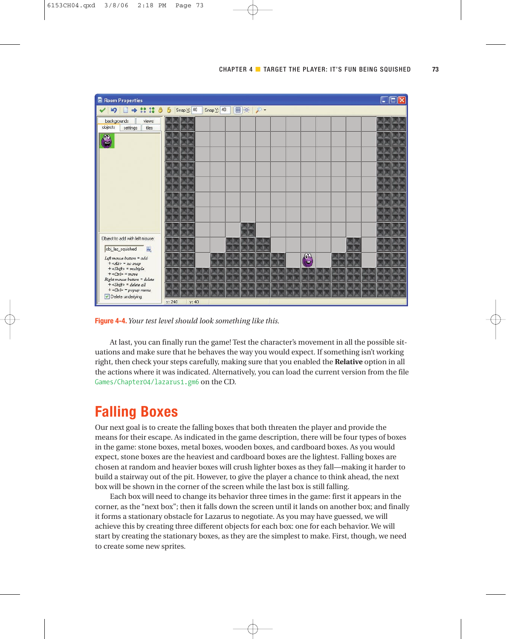| $\boxed{\mathbb{H}\times\mathbb{R}}$ .<br>$\Box \Rightarrow \mathrel{\mathop:} \mathrel{\mathop:} \mathrel{\mathop:} \mathrel{\mathop:} \mathrel{\mathop:} \mathrel{\mathop:} \mathrel{\mathop:} \mathrel{\mathop:} \mathrel{\mathop:} \mathrel{\mathop:} \mathrel{\mathop:} \mathrel{\mathop:} \mathrel{\mathop:} \mathrel{\mathop:} \mathrel{\mathop:} \mathrel{\mathop:} \mathrel{\mathop:} \mathrel{\mathop:} \mathrel{\mathop:} \mathrel{\mathop:} \mathrel{\mathop:} \mathrel{\mathop:} \mathrel{\mathop:} \mathrel{\mathop:} \mathrel{\mathop:} \mathrel{\mathop:} \mathrel{\mathop:}$<br>Snap $Y: 40$<br>backgrounds<br>views<br>objects<br>tiles<br>settings<br>$^{\circ}$ |  |
|-------------------------------------------------------------------------------------------------------------------------------------------------------------------------------------------------------------------------------------------------------------------------------------------------------------------------------------------------------------------------------------------------------------------------------------------------------------------------------------------------------------------------------------------------------------------------------------------------------------------------------------------------------------------------------------|--|
|                                                                                                                                                                                                                                                                                                                                                                                                                                                                                                                                                                                                                                                                                     |  |
|                                                                                                                                                                                                                                                                                                                                                                                                                                                                                                                                                                                                                                                                                     |  |
|                                                                                                                                                                                                                                                                                                                                                                                                                                                                                                                                                                                                                                                                                     |  |
|                                                                                                                                                                                                                                                                                                                                                                                                                                                                                                                                                                                                                                                                                     |  |
|                                                                                                                                                                                                                                                                                                                                                                                                                                                                                                                                                                                                                                                                                     |  |
|                                                                                                                                                                                                                                                                                                                                                                                                                                                                                                                                                                                                                                                                                     |  |
|                                                                                                                                                                                                                                                                                                                                                                                                                                                                                                                                                                                                                                                                                     |  |
|                                                                                                                                                                                                                                                                                                                                                                                                                                                                                                                                                                                                                                                                                     |  |
| Object to add with left mouse:                                                                                                                                                                                                                                                                                                                                                                                                                                                                                                                                                                                                                                                      |  |
| T B<br>obj_laz_squished                                                                                                                                                                                                                                                                                                                                                                                                                                                                                                                                                                                                                                                             |  |
| $\overline{60}$<br>Left mouse button = add<br>$+ <$ Alt> = no snap<br>$+ Shift > = multiple$                                                                                                                                                                                                                                                                                                                                                                                                                                                                                                                                                                                        |  |
| $+ <\frac{C}{2n}>= move$<br>Right mouse button = delete<br>$+ Shift > = delete all$                                                                                                                                                                                                                                                                                                                                                                                                                                                                                                                                                                                                 |  |
| $+$ < $\triangle$ rl > = popup menu<br>Delete underlying<br>x: 240<br>y:40                                                                                                                                                                                                                                                                                                                                                                                                                                                                                                                                                                                                          |  |

**Figure 4-4.** *Your test level should look something like this.*

At last, you can finally run the game! Test the character's movement in all the possible situations and make sure that he behaves the way you would expect. If something isn't working right, then check your steps carefully, making sure that you enabled the **Relative** option in all the actions where it was indicated. Alternatively, you can load the current version from the file Games/Chapter04/lazarus1.gm6 on the CD.

## **Falling Boxes**

Our next goal is to create the falling boxes that both threaten the player and provide the means for their escape. As indicated in the game description, there will be four types of boxes in the game: stone boxes, metal boxes, wooden boxes, and cardboard boxes. As you would expect, stone boxes are the heaviest and cardboard boxes are the lightest. Falling boxes are chosen at random and heavier boxes will crush lighter boxes as they fall—making it harder to build a stairway out of the pit. However, to give the player a chance to think ahead, the next box will be shown in the corner of the screen while the last box is still falling.

Each box will need to change its behavior three times in the game: first it appears in the corner, as the "next box"; then it falls down the screen until it lands on another box; and finally it forms a stationary obstacle for Lazarus to negotiate. As you may have guessed, we will achieve this by creating three different objects for each box: one for each behavior. We will start by creating the stationary boxes, as they are the simplest to make. First, though, we need to create some new sprites.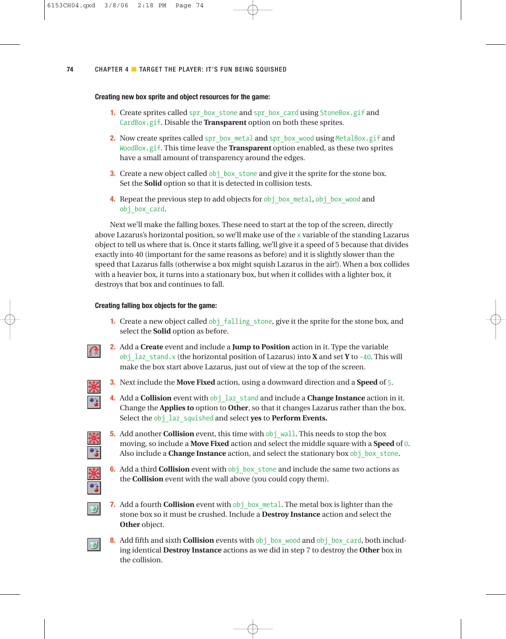#### **Creating new box sprite and object resources for the game:**

- **1.** Create sprites called spr\_box\_stone and spr\_box\_card using StoneBox.gif and CardBox.gif. Disable the **Transparent** option on both these sprites.
- **2.** Now create sprites called spr\_box\_metal and spr\_box\_wood using MetalBox.gif and WoodBox.gif. This time leave the **Transparent** option enabled, as these two sprites have a small amount of transparency around the edges.
- **3.** Create a new object called obj box stone and give it the sprite for the stone box. Set the **Solid** option so that it is detected in collision tests.
- **4.** Repeat the previous step to add objects for obj box metal, obj box wood and obj\_box\_card.

Next we'll make the falling boxes. These need to start at the top of the screen, directly above Lazarus's horizontal position, so we'll make use of the x variable of the standing Lazarus object to tell us where that is. Once it starts falling, we'll give it a speed of 5 because that divides exactly into 40 (important for the same reasons as before) and it is slightly slower than the speed that Lazarus falls (otherwise a box might squish Lazarus in the air!). When a box collides with a heavier box, it turns into a stationary box, but when it collides with a lighter box, it destroys that box and continues to fall.

#### **Creating falling box objects for the game:**

- **1.** Create a new object called obj falling stone, give it the sprite for the stone box, and select the **Solid** option as before.
- **2.** Add a **Create** event and include a **Jump to Position** action in it. Type the variable obj\_laz\_stand.x (the horizontal position of Lazarus) into **X** and set **Y** to -40. This will make the box start above Lazarus, just out of view at the top of the screen.
- **3.** Next include the **Move Fixed** action, using a downward direction and a **Speed** of 5.
- **4.** Add a **Collision** event with  $obj$  laz stand and include a **Change Instance** action in it. Change the **Applies to** option to **Other**, so that it changes Lazarus rather than the box. Select the obj\_laz\_squished and select **yes** to **Perform Events.**
- ぷ

 $\overline{\mathcal{C}}$ 

- **5.** Add another **Collision** event, this time with  $\phi$  wall. This needs to stop the box moving, so include a **Move Fixed** action and select the middle square with a **Speed** of 0. Also include a **Change Instance** action, and select the stationary box obj\_box\_stone.
- ※。

 $\overline{\mathbf{z}}$ 

副

- **6.** Add a third **Collision** event with obj box stone and include the same two actions as the **Collision** event with the wall above (you could copy them).
- **7.** Add a fourth **Collision** event with obj box metal. The metal box is lighter than the stone box so it must be crushed. Include a **Destroy Instance** action and select the **Other** object.
- **8.** Add fifth and sixth **Collision** events with obj\_box\_wood and obj\_box\_card, both including identical **Destroy Instance** actions as we did in step 7 to destroy the **Other** box in the collision.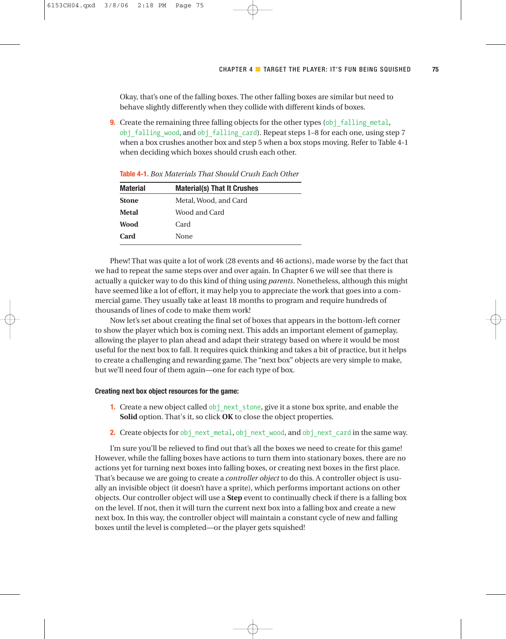Okay, that's one of the falling boxes. The other falling boxes are similar but need to behave slightly differently when they collide with different kinds of boxes.

**9.** Create the remaining three falling objects for the other types (obj falling metal, obj falling wood, and obj falling card). Repeat steps  $1-8$  for each one, using step 7 when a box crushes another box and step 5 when a box stops moving. Refer to Table 4-1 when deciding which boxes should crush each other.

| <b>Material</b> | <b>Material(s) That It Crushes</b> |  |
|-----------------|------------------------------------|--|
| Stone           | Metal, Wood, and Card              |  |
| Metal           | Wood and Card                      |  |
| Wood            | Card                               |  |
| Card            | None                               |  |
|                 |                                    |  |

**Table 4-1.** *Box Materials That Should Crush Each Other*

Phew! That was quite a lot of work (28 events and 46 actions), made worse by the fact that we had to repeat the same steps over and over again. In Chapter 6 we will see that there is actually a quicker way to do this kind of thing using *parents*. Nonetheless, although this might have seemed like a lot of effort, it may help you to appreciate the work that goes into a commercial game. They usually take at least 18 months to program and require hundreds of thousands of lines of code to make them work!

Now let's set about creating the final set of boxes that appears in the bottom-left corner to show the player which box is coming next. This adds an important element of gameplay, allowing the player to plan ahead and adapt their strategy based on where it would be most useful for the next box to fall. It requires quick thinking and takes a bit of practice, but it helps to create a challenging and rewarding game. The "next box" objects are very simple to make, but we'll need four of them again—one for each type of box.

#### **Creating next box object resources for the game:**

- **1.** Create a new object called obj\_next\_stone, give it a stone box sprite, and enable the **Solid** option. That's it, so click **OK** to close the object properties.
- **2.** Create objects for obj\_next\_metal, obj\_next\_wood, and obj\_next\_card in the same way.

I'm sure you'll be relieved to find out that's all the boxes we need to create for this game! However, while the falling boxes have actions to turn them into stationary boxes, there are no actions yet for turning next boxes into falling boxes, or creating next boxes in the first place. That's because we are going to create a *controller object* to do this. A controller object is usually an invisible object (it doesn't have a sprite), which performs important actions on other objects. Our controller object will use a **Step** event to continually check if there is a falling box on the level. If not, then it will turn the current next box into a falling box and create a new next box. In this way, the controller object will maintain a constant cycle of new and falling boxes until the level is completed—or the player gets squished!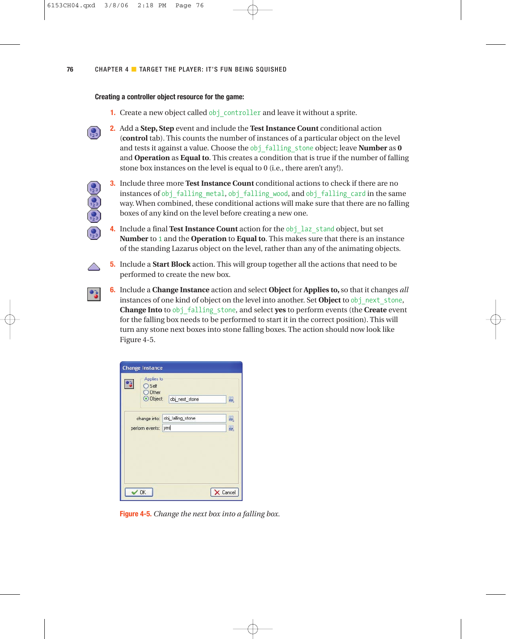#### **Creating a controller object resource for the game:**

- **1.** Create a new object called obj controller and leave it without a sprite.
- **2.** Add a **Step, Step** event and include the **Test Instance Count** conditional action (**control** tab). This counts the number of instances of a particular object on the level and tests it against a value. Choose the obj\_falling\_stone object; leave **Number** as **0** and **Operation** as **Equal to**. This creates a condition that is true if the number of falling stone box instances on the level is equal to 0 (i.e., there aren't any!).
- ويًا ويًا في

 $\bullet_{\mathbf{\hat{a}}}$ 

 $\mathbf{R}_{3}$ 

**3.** Include three more **Test Instance Count** conditional actions to check if there are no instances of obj\_falling\_metal, obj\_falling\_wood, and obj\_falling\_card in the same way. When combined, these conditional actions will make sure that there are no falling boxes of any kind on the level before creating a new one.

- **4.** Include a final **Test Instance Count** action for the obj laz stand object, but set **Number** to 1 and the **Operation** to **Equal to**. This makes sure that there is an instance of the standing Lazarus object on the level, rather than any of the animating objects.
- **5.** Include a **Start Block** action. This will group together all the actions that need to be performed to create the new box.
- **6.** Include a **Change Instance** action and select **Object** for **Applies to,** so that it changes *all* instances of one kind of object on the level into another. Set **Object** to obj\_next\_stone, **Change Into** to obj\_falling\_stone, and select **yes** to perform events (the **Create** event for the falling box needs to be performed to start it in the correct position). This will turn any stone next boxes into stone falling boxes. The action should now look like Figure 4-5.

|    | <b>Change Instance</b>                   |                   |                |
|----|------------------------------------------|-------------------|----------------|
| ., | Applies to<br>Self<br>Other<br>O Object: | obj_next_stone    | $\blacksquare$ |
|    | change into:                             | obj_falling_stone | 昌              |
|    | perform events:                          | yes               | 冒              |
|    |                                          |                   |                |
|    | <b>OK</b>                                |                   | Cancel         |

**Figure 4-5.** *Change the next box into a falling box.*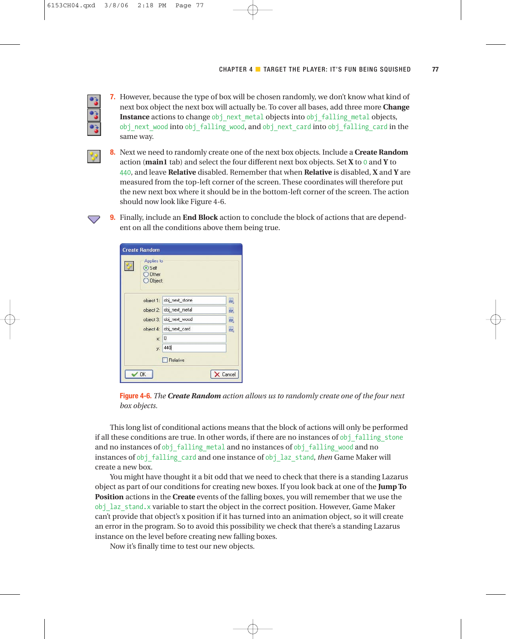**7.** However, because the type of box will be chosen randomly, we don't know what kind of next box object the next box will actually be. To cover all bases, add three more **Change Instance** actions to change obj\_next\_metal objects into obj\_falling\_metal objects, obj next wood into obj falling wood, and obj next card into obj falling card in the same way.

**8.** Next we need to randomly create one of the next box objects. Include a **Create Random** action (**main1** tab) and select the four different next box objects. Set **X** to 0 and **Y** to 440, and leave **Relative** disabled. Remember that when **Relative** is disabled, **X** and **Y** are measured from the top-left corner of the screen. These coordinates will therefore put the new next box where it should be in the bottom-left corner of the screen. The action should now look like Figure 4-6.

**9.** Finally, include an **End Block** action to conclude the block of actions that are dependent on all the conditions above them being true.

| <b>Create Random</b>                              |                          |          |
|---------------------------------------------------|--------------------------|----------|
| Applies to<br>$\bigcirc$ Self<br>Other<br>Object: |                          |          |
| object 1:                                         | obj_next_stone           | 昌        |
|                                                   | object 2: obj_next_metal | 昌        |
|                                                   | object 3: obj_next_wood  | 鳳        |
| object 4:                                         | obj_next_card            | 冒        |
| x.                                                | Ū.                       |          |
| y:                                                | 440                      |          |
|                                                   | Relative                 |          |
| <b>OK</b>                                         |                          | X Cancel |

**Figure 4-6.** *The Create Random action allows us to randomly create one of the four next box objects.*

This long list of conditional actions means that the block of actions will only be performed if all these conditions are true. In other words, if there are no instances of  $obj$  falling stone and no instances of obj falling metal and no instances of obj falling wood and no instances of obj falling card and one instance of obj laz stand, *then* Game Maker will create a new box.

You might have thought it a bit odd that we need to check that there is a standing Lazarus object as part of our conditions for creating new boxes. If you look back at one of the **Jump To Position** actions in the **Create** events of the falling boxes, you will remember that we use the obj laz stand. x variable to start the object in the correct position. However, Game Maker can't provide that object's x position if it has turned into an animation object, so it will create an error in the program. So to avoid this possibility we check that there's a standing Lazarus instance on the level before creating new falling boxes.

Now it's finally time to test our new objects.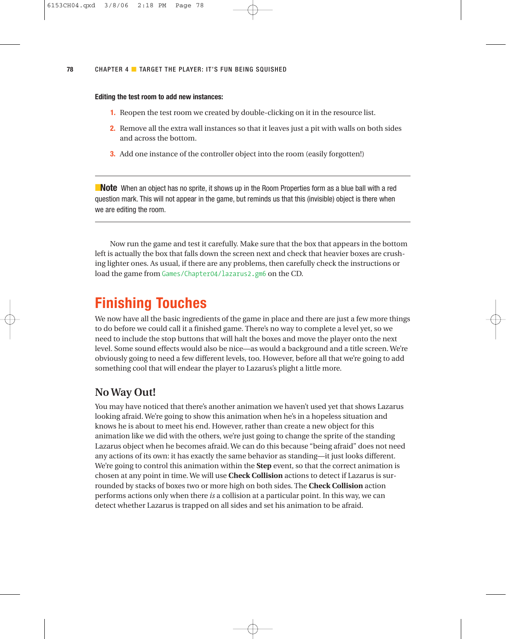#### **Editing the test room to add new instances:**

- **1.** Reopen the test room we created by double-clicking on it in the resource list.
- **2.** Remove all the extra wall instances so that it leaves just a pit with walls on both sides and across the bottom.
- **3.** Add one instance of the controller object into the room (easily forgotten!)

**Note** When an object has no sprite, it shows up in the Room Properties form as a blue ball with a red question mark. This will not appear in the game, but reminds us that this (invisible) object is there when we are editing the room.

Now run the game and test it carefully. Make sure that the box that appears in the bottom left is actually the box that falls down the screen next and check that heavier boxes are crushing lighter ones. As usual, if there are any problems, then carefully check the instructions or load the game from Games/Chapter04/lazarus2.gm6 on the CD.

# **Finishing Touches**

We now have all the basic ingredients of the game in place and there are just a few more things to do before we could call it a finished game. There's no way to complete a level yet, so we need to include the stop buttons that will halt the boxes and move the player onto the next level. Some sound effects would also be nice—as would a background and a title screen. We're obviously going to need a few different levels, too. However, before all that we're going to add something cool that will endear the player to Lazarus's plight a little more.

### **No Way Out!**

You may have noticed that there's another animation we haven't used yet that shows Lazarus looking afraid. We're going to show this animation when he's in a hopeless situation and knows he is about to meet his end. However, rather than create a new object for this animation like we did with the others, we're just going to change the sprite of the standing Lazarus object when he becomes afraid. We can do this because "being afraid" does not need any actions of its own: it has exactly the same behavior as standing—it just looks different. We're going to control this animation within the **Step** event, so that the correct animation is chosen at any point in time. We will use **Check Collision** actions to detect if Lazarus is surrounded by stacks of boxes two or more high on both sides. The **Check Collision** action performs actions only when there *is* a collision at a particular point. In this way, we can detect whether Lazarus is trapped on all sides and set his animation to be afraid.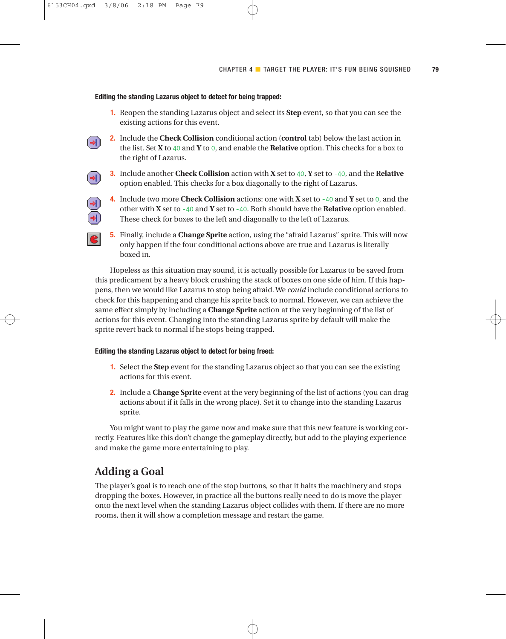#### **Editing the standing Lazarus object to detect for being trapped:**

- **1.** Reopen the standing Lazarus object and select its **Step** event, so that you can see the existing actions for this event.
- **2.** Include the **Check Collision** conditional action (**control** tab) below the last action in  $\Rightarrow$ the list. Set **X** to 40 and **Y** to 0, and enable the **Relative** option. This checks for a box to the right of Lazarus.
	- **3.** Include another **Check Collision** action with **X** set to 40, **Y** set to -40, and the **Relative** option enabled. This checks for a box diagonally to the right of Lazarus.
	- **4.** Include two more **Check Collision** actions: one with **X** set to -40 and **Y** set to 0, and the other with **X** set to -40 and **Y** set to -40. Both should have the **Relative** option enabled. These check for boxes to the left and diagonally to the left of Lazarus.
	- **5.** Finally, include a **Change Sprite** action, using the "afraid Lazarus" sprite. This will now only happen if the four conditional actions above are true and Lazarus is literally boxed in.

Hopeless as this situation may sound, it is actually possible for Lazarus to be saved from this predicament by a heavy block crushing the stack of boxes on one side of him. If this happens, then we would like Lazarus to stop being afraid. We *could* include conditional actions to check for this happening and change his sprite back to normal. However, we can achieve the same effect simply by including a **Change Sprite** action at the very beginning of the list of actions for this event. Changing into the standing Lazarus sprite by default will make the sprite revert back to normal if he stops being trapped.

#### **Editing the standing Lazarus object to detect for being freed:**

- **1.** Select the **Step** event for the standing Lazarus object so that you can see the existing actions for this event.
- **2.** Include a **Change Sprite** event at the very beginning of the list of actions (you can drag actions about if it falls in the wrong place). Set it to change into the standing Lazarus sprite.

You might want to play the game now and make sure that this new feature is working correctly. Features like this don't change the gameplay directly, but add to the playing experience and make the game more entertaining to play.

### **Adding a Goal**

ᆌ

 $\frac{1}{2}$ 

 $\bullet$ 

The player's goal is to reach one of the stop buttons, so that it halts the machinery and stops dropping the boxes. However, in practice all the buttons really need to do is move the player onto the next level when the standing Lazarus object collides with them. If there are no more rooms, then it will show a completion message and restart the game.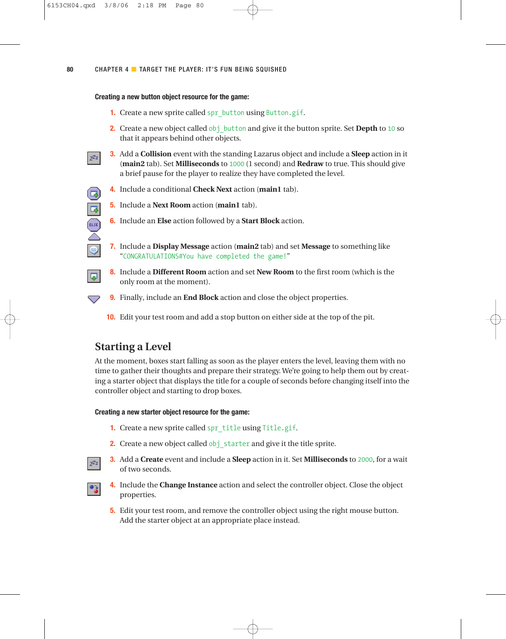#### **Creating a new button object resource for the game:**

- **1.** Create a new sprite called spr\_button using Button.gif.
- **2.** Create a new object called obj button and give it the button sprite. Set **Depth** to 10 so that it appears behind other objects.
- **3.** Add a **Collision** event with the standing Lazarus object and include a **Sleep** action in it  $Z^Z$ z (**main2** tab). Set **Milliseconds** to 1000 (1 second) and **Redraw** to true. This should give a brief pause for the player to realize they have completed the level.
	- **4.** Include a conditional **Check Next** action (**main1** tab).
	- **5.** Include a **Next Room** action (**main1** tab).
	- **6.** Include an **Else** action followed by a **Start Block** action.
	- **7.** Include a **Display Message** action (**main2** tab) and set **Message** to something like "CONGRATULATIONS#You have completed the game!"
	- **8.** Include a **Different Room** action and set **New Room** to the first room (which is the only room at the moment).
- **9.** Finally, include an **End Block** action and close the object properties.
	- **10.** Edit your test room and add a stop button on either side at the top of the pit.

### **Starting a Level**

ODEC E

 $\overline{\mathbf{v}}$ 

 $z^{z}z$ 

 $\cdot$  3

At the moment, boxes start falling as soon as the player enters the level, leaving them with no time to gather their thoughts and prepare their strategy. We're going to help them out by creating a starter object that displays the title for a couple of seconds before changing itself into the controller object and starting to drop boxes.

#### **Creating a new starter object resource for the game:**

- **1.** Create a new sprite called spr title using Title.gif.
- **2.** Create a new object called obj starter and give it the title sprite.
- **3.** Add a **Create** event and include a **Sleep** action in it. Set **Milliseconds** to 2000, for a wait of two seconds.
- **4.** Include the **Change Instance** action and select the controller object. Close the object properties.
- **5.** Edit your test room, and remove the controller object using the right mouse button. Add the starter object at an appropriate place instead.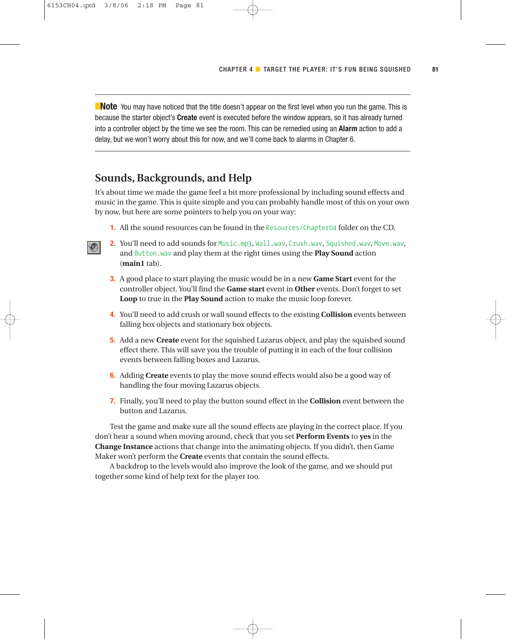**Note** You may have noticed that the title doesn't appear on the first level when you run the game. This is because the starter object's **Create** event is executed before the window appears, so it has already turned into a controller object by the time we see the room. This can be remedied using an **Alarm** action to add a delay, but we won't worry about this for now, and we'll come back to alarms in Chapter 6.

### **Sounds, Backgrounds, and Help**

 $\bullet$ 

It's about time we made the game feel a bit more professional by including sound effects and music in the game. This is quite simple and you can probably handle most of this on your own by now, but here are some pointers to help you on your way:

- **1.** All the sound resources can be found in the Resources/Chapter04 folder on the CD.
- **2.** You'll need to add sounds for Music.mp3, Wall.wav, Crush.wav, Squished.wav, Move.wav, and Button.wav and play them at the right times using the **Play Sound** action (**main1** tab).
- **3.** A good place to start playing the music would be in a new **Game Start** event for the controller object. You'll find the **Game start** event in **Other** events. Don't forget to set **Loop** to true in the **Play Sound** action to make the music loop forever.
- **4.** You'll need to add crush or wall sound effects to the existing **Collision** events between falling box objects and stationary box objects.
- **5.** Add a new **Create** event for the squished Lazarus object, and play the squished sound effect there. This will save you the trouble of putting it in each of the four collision events between falling boxes and Lazarus.
- **6.** Adding **Create** events to play the move sound effects would also be a good way of handling the four moving Lazarus objects.
- **7.** Finally, you'll need to play the button sound effect in the **Collision** event between the button and Lazarus.

Test the game and make sure all the sound effects are playing in the correct place. If you don't hear a sound when moving around, check that you set **Perform Events** to **yes** in the **Change Instance** actions that change into the animating objects. If you didn't, then Game Maker won't perform the **Create** events that contain the sound effects.

A backdrop to the levels would also improve the look of the game, and we should put together some kind of help text for the player too.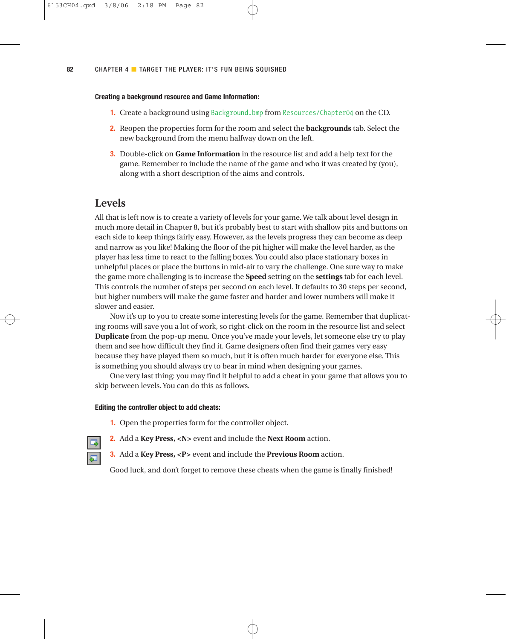#### **Creating a background resource and Game Information:**

- **1.** Create a background using Background.bmp from Resources/Chapter04 on the CD.
- **2.** Reopen the properties form for the room and select the **backgrounds** tab. Select the new background from the menu halfway down on the left.
- **3.** Double-click on **Game Information** in the resource list and add a help text for the game. Remember to include the name of the game and who it was created by (you), along with a short description of the aims and controls.

### **Levels**

All that is left now is to create a variety of levels for your game. We talk about level design in much more detail in Chapter 8, but it's probably best to start with shallow pits and buttons on each side to keep things fairly easy. However, as the levels progress they can become as deep and narrow as you like! Making the floor of the pit higher will make the level harder, as the player has less time to react to the falling boxes. You could also place stationary boxes in unhelpful places or place the buttons in mid-air to vary the challenge. One sure way to make the game more challenging is to increase the **Speed** setting on the **settings** tab for each level. This controls the number of steps per second on each level. It defaults to 30 steps per second, but higher numbers will make the game faster and harder and lower numbers will make it slower and easier.

Now it's up to you to create some interesting levels for the game. Remember that duplicating rooms will save you a lot of work, so right-click on the room in the resource list and select **Duplicate** from the pop-up menu. Once you've made your levels, let someone else try to play them and see how difficult they find it. Game designers often find their games very easy because they have played them so much, but it is often much harder for everyone else. This is something you should always try to bear in mind when designing your games.

One very last thing: you may find it helpful to add a cheat in your game that allows you to skip between levels. You can do this as follows.

#### **Editing the controller object to add cheats:**

- **1.** Open the properties form for the controller object.
- **2.** Add a **Key Press, <N>** event and include the **Next Room** action.
	- **3.** Add a **Key Press, <P>** event and include the **Previous Room** action.

Good luck, and don't forget to remove these cheats when the game is finally finished!